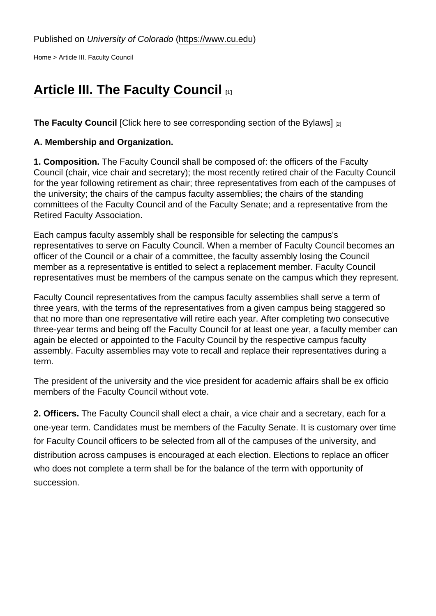[Home](https://www.cu.edu/) > Article III. Faculty Council

# [Article III. The Faculty Council](https://www.cu.edu/faculty/constitution-bylaws/constitution/article-iii-faculty-council) [1]

The Faculty Council [\[Click here to see corresponding section of the Bylaws\]](https://www.cu.edu/faculty-council/laws/section-iii-faculty-council) [2]

A. Membership and Organization.

1. Composition. The Faculty Council shall be composed of: the officers of the Faculty Council (chair, vice chair and secretary); the most recently retired chair of the Faculty Council for the year following retirement as chair; three representatives from each of the campuses of the university; the chairs of the campus faculty assemblies; the chairs of the standing committees of the Faculty Council and of the Faculty Senate; and a representative from the Retired Faculty Association.

Each campus faculty assembly shall be responsible for selecting the campus's representatives to serve on Faculty Council. When a member of Faculty Council becomes an officer of the Council or a chair of a committee, the faculty assembly losing the Council member as a representative is entitled to select a replacement member. Faculty Council representatives must be members of the campus senate on the campus which they represent.

Faculty Council representatives from the campus faculty assemblies shall serve a term of three years, with the terms of the representatives from a given campus being staggered so that no more than one representative will retire each year. After completing two consecutive three-year terms and being off the Faculty Council for at least one year, a faculty member can again be elected or appointed to the Faculty Council by the respective campus faculty assembly. Faculty assemblies may vote to recall and replace their representatives during a term.

The president of the university and the vice president for academic affairs shall be ex officio members of the Faculty Council without vote.

2. Officers. The Faculty Council shall elect a chair, a vice chair and a secretary, each for a one-year term. Candidates must be members of the Faculty Senate. It is customary over time for Faculty Council officers to be selected from all of the campuses of the university, and distribution across campuses is encouraged at each election. Elections to replace an officer who does not complete a term shall be for the balance of the term with opportunity of succession.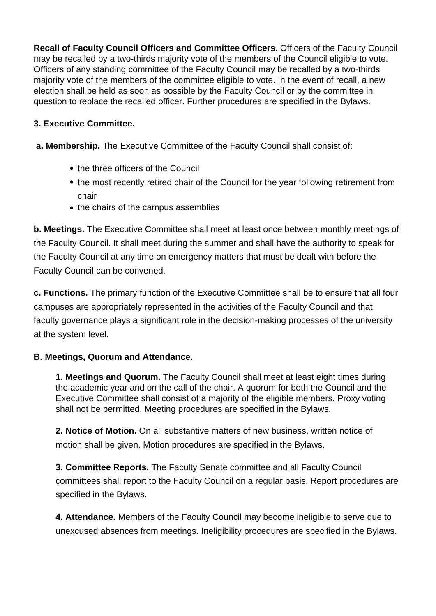**Recall of Faculty Council Officers and Committee Officers.** Officers of the Faculty Council may be recalled by a two-thirds majority vote of the members of the Council eligible to vote. Officers of any standing committee of the Faculty Council may be recalled by a two-thirds majority vote of the members of the committee eligible to vote. In the event of recall, a new election shall be held as soon as possible by the Faculty Council or by the committee in question to replace the recalled officer. Further procedures are specified in the Bylaws.

## **3. Executive Committee.**

 **a. Membership.** The Executive Committee of the Faculty Council shall consist of:

- the three officers of the Council
- the most recently retired chair of the Council for the year following retirement from chair
- the chairs of the campus assemblies

**b. Meetings.** The Executive Committee shall meet at least once between monthly meetings of the Faculty Council. It shall meet during the summer and shall have the authority to speak for the Faculty Council at any time on emergency matters that must be dealt with before the Faculty Council can be convened.

**c. Functions.** The primary function of the Executive Committee shall be to ensure that all four campuses are appropriately represented in the activities of the Faculty Council and that faculty governance plays a significant role in the decision-making processes of the university at the system level.

### **B. Meetings, Quorum and Attendance.**

**1. Meetings and Quorum.** The Faculty Council shall meet at least eight times during the academic year and on the call of the chair. A quorum for both the Council and the Executive Committee shall consist of a majority of the eligible members. Proxy voting shall not be permitted. Meeting procedures are specified in the Bylaws.

**2. Notice of Motion.** On all substantive matters of new business, written notice of motion shall be given. Motion procedures are specified in the Bylaws.

**3. Committee Reports.** The Faculty Senate committee and all Faculty Council committees shall report to the Faculty Council on a regular basis. Report procedures are specified in the Bylaws.

**4. Attendance.** Members of the Faculty Council may become ineligible to serve due to unexcused absences from meetings. Ineligibility procedures are specified in the Bylaws.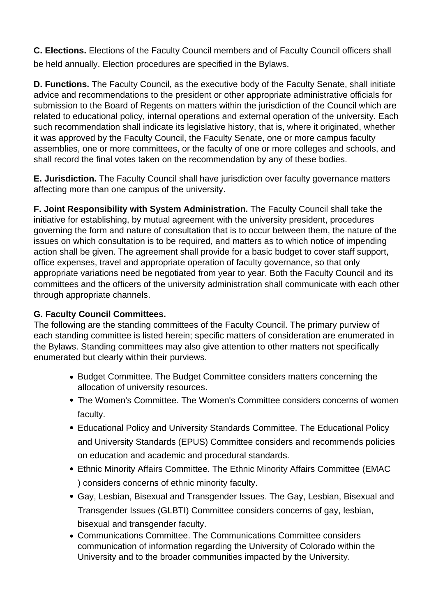**C. Elections.** Elections of the Faculty Council members and of Faculty Council officers shall be held annually. Election procedures are specified in the Bylaws.

**D. Functions.** The Faculty Council, as the executive body of the Faculty Senate, shall initiate advice and recommendations to the president or other appropriate administrative officials for submission to the Board of Regents on matters within the jurisdiction of the Council which are related to educational policy, internal operations and external operation of the university. Each such recommendation shall indicate its legislative history, that is, where it originated, whether it was approved by the Faculty Council, the Faculty Senate, one or more campus faculty assemblies, one or more committees, or the faculty of one or more colleges and schools, and shall record the final votes taken on the recommendation by any of these bodies.

**E. Jurisdiction.** The Faculty Council shall have jurisdiction over faculty governance matters affecting more than one campus of the university.

**F. Joint Responsibility with System Administration.** The Faculty Council shall take the initiative for establishing, by mutual agreement with the university president, procedures governing the form and nature of consultation that is to occur between them, the nature of the issues on which consultation is to be required, and matters as to which notice of impending action shall be given. The agreement shall provide for a basic budget to cover staff support, office expenses, travel and appropriate operation of faculty governance, so that only appropriate variations need be negotiated from year to year. Both the Faculty Council and its committees and the officers of the university administration shall communicate with each other through appropriate channels.

### **G. Faculty Council Committees.**

The following are the standing committees of the Faculty Council. The primary purview of each standing committee is listed herein; specific matters of consideration are enumerated in the Bylaws. Standing committees may also give attention to other matters not specifically enumerated but clearly within their purviews.

- Budget Committee. The Budget Committee considers matters concerning the allocation of university resources.
- The Women's Committee. The Women's Committee considers concerns of women faculty.
- Educational Policy and University Standards Committee. The Educational Policy and University Standards (EPUS) Committee considers and recommends policies on education and academic and procedural standards.
- Ethnic Minority Affairs Committee. The Ethnic Minority Affairs Committee (EMAC ) considers concerns of ethnic minority faculty.
- Gay, Lesbian, Bisexual and Transgender Issues. The Gay, Lesbian, Bisexual and Transgender Issues (GLBTI) Committee considers concerns of gay, lesbian, bisexual and transgender faculty.
- Communications Committee. The Communications Committee considers communication of information regarding the University of Colorado within the University and to the broader communities impacted by the University.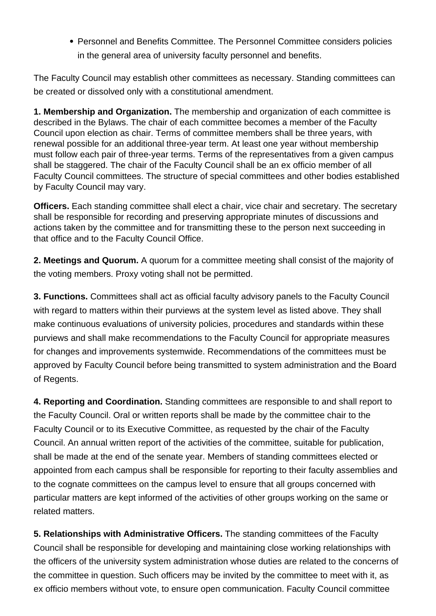Personnel and Benefits Committee. The Personnel Committee considers policies in the general area of university faculty personnel and benefits.

The Faculty Council may establish other committees as necessary. Standing committees can be created or dissolved only with a constitutional amendment.

**1. Membership and Organization.** The membership and organization of each committee is described in the Bylaws. The chair of each committee becomes a member of the Faculty Council upon election as chair. Terms of committee members shall be three years, with renewal possible for an additional three-year term. At least one year without membership must follow each pair of three-year terms. Terms of the representatives from a given campus shall be staggered. The chair of the Faculty Council shall be an ex officio member of all Faculty Council committees. The structure of special committees and other bodies established by Faculty Council may vary.

**Officers.** Each standing committee shall elect a chair, vice chair and secretary. The secretary shall be responsible for recording and preserving appropriate minutes of discussions and actions taken by the committee and for transmitting these to the person next succeeding in that office and to the Faculty Council Office.

**2. Meetings and Quorum.** A quorum for a committee meeting shall consist of the majority of the voting members. Proxy voting shall not be permitted.

**3. Functions.** Committees shall act as official faculty advisory panels to the Faculty Council with regard to matters within their purviews at the system level as listed above. They shall make continuous evaluations of university policies, procedures and standards within these purviews and shall make recommendations to the Faculty Council for appropriate measures for changes and improvements systemwide. Recommendations of the committees must be approved by Faculty Council before being transmitted to system administration and the Board of Regents.

**4. Reporting and Coordination.** Standing committees are responsible to and shall report to the Faculty Council. Oral or written reports shall be made by the committee chair to the Faculty Council or to its Executive Committee, as requested by the chair of the Faculty Council. An annual written report of the activities of the committee, suitable for publication, shall be made at the end of the senate year. Members of standing committees elected or appointed from each campus shall be responsible for reporting to their faculty assemblies and to the cognate committees on the campus level to ensure that all groups concerned with particular matters are kept informed of the activities of other groups working on the same or related matters.

**5. Relationships with Administrative Officers.** The standing committees of the Faculty Council shall be responsible for developing and maintaining close working relationships with the officers of the university system administration whose duties are related to the concerns of the committee in question. Such officers may be invited by the committee to meet with it, as ex officio members without vote, to ensure open communication. Faculty Council committee